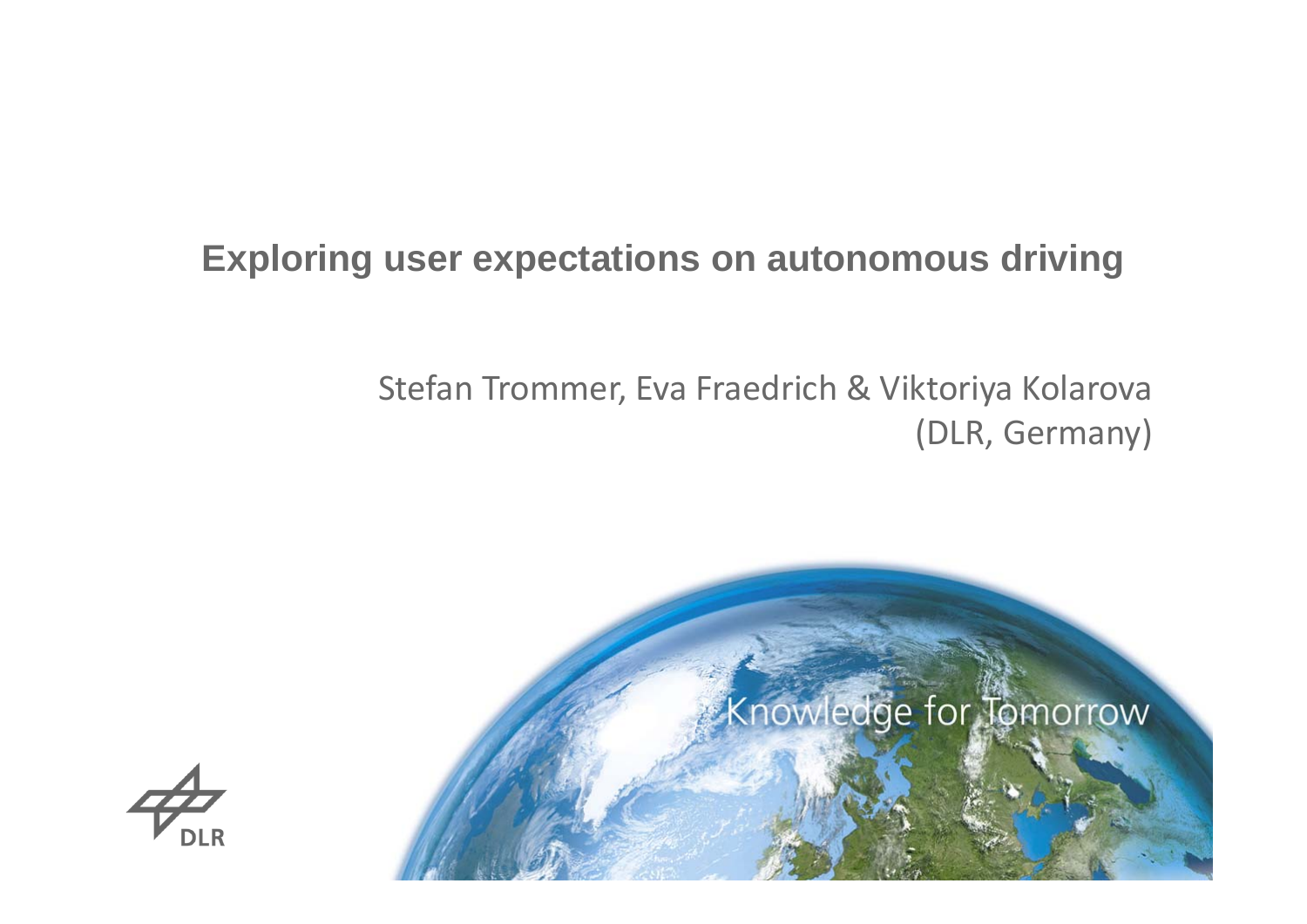# **Exploring user expectations on autonomous driving**

### Stefan Trommer, Eva Fraedrich & Viktoriya Kolarova (DLR, Germany)



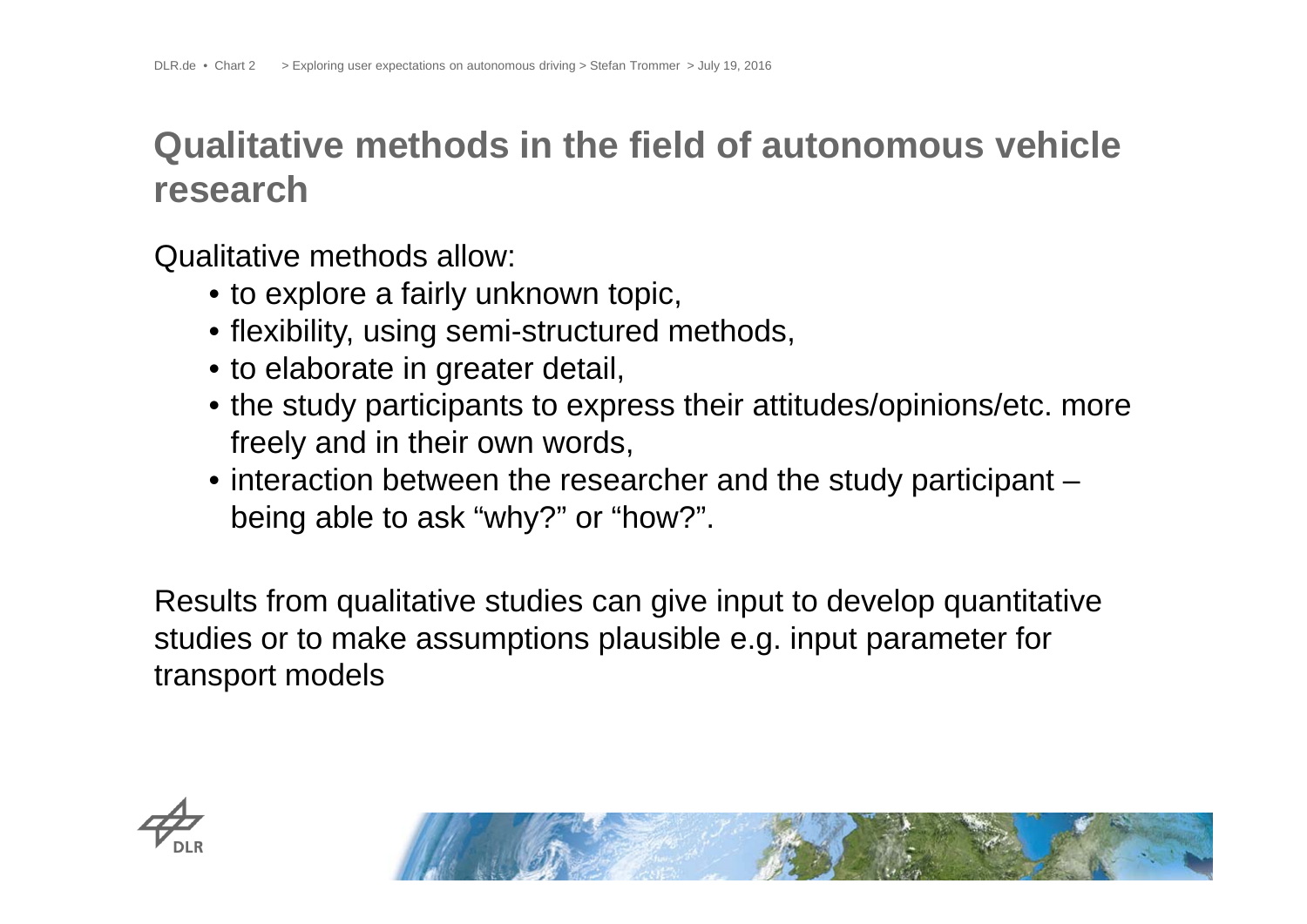# **Qualitative methods in the field of autonomous vehicle research**

Qualitative methods allow:

- to explore a fairly unknown topic,
- flexibility, using semi-structured methods,
- to elaborate in greater detail,
- the study participants to express their attitudes/opinions/etc. more freely and in their own words,
- interaction between the researcher and the study participant being able to ask "why?" or "how?".

Results from qualitative studies can give input to develop quantitative studies or to make assumptions plausible e.g. input parameter for transport models



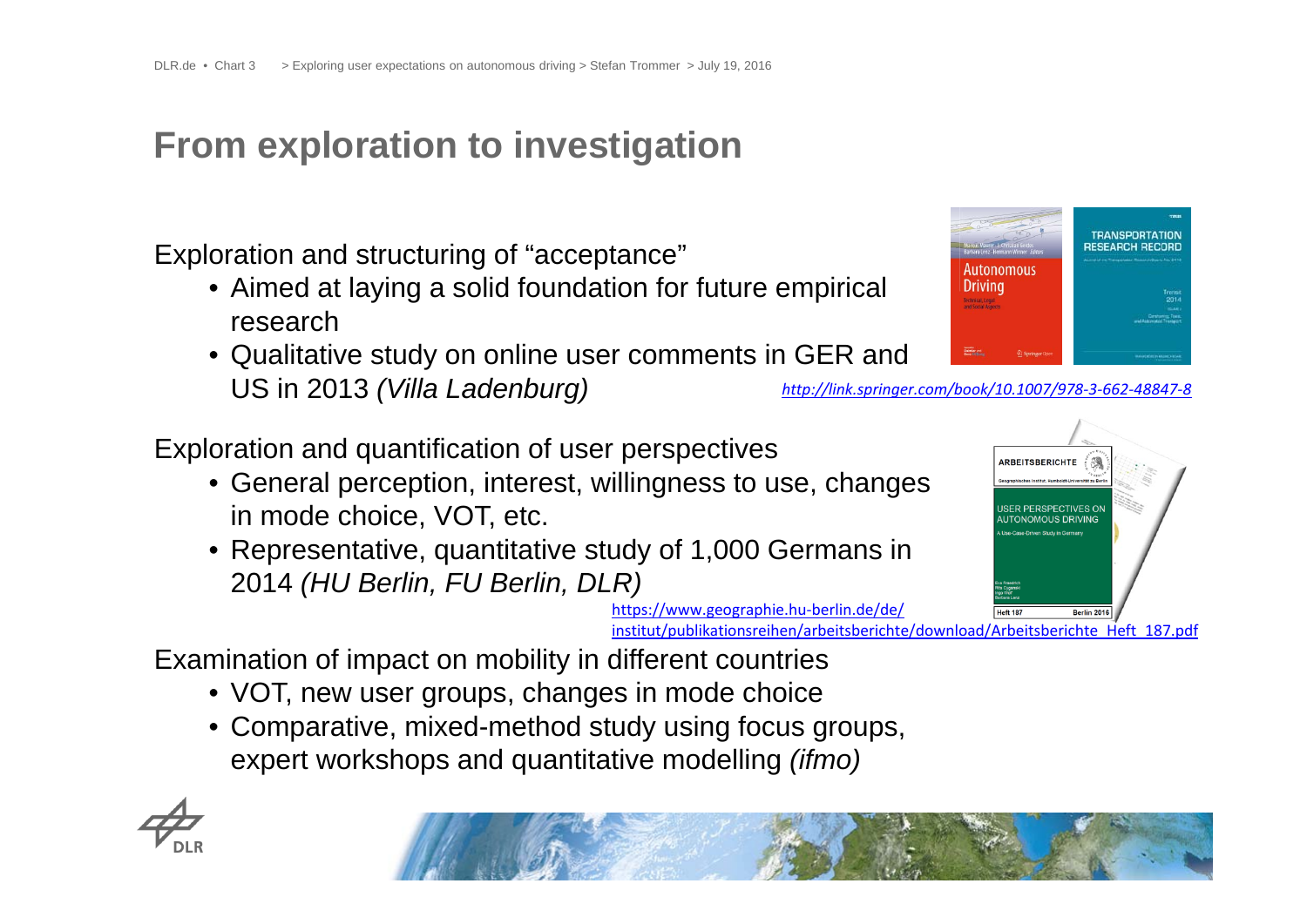## **From exploration to investigation**

Exploration and structuring of "acceptance"

- Aimed at laying a solid foundation for future empirical research
- Qualitative study on online user comments in GER and US in 2013 *(Villa Ladenburg)*

Exploration and quantification of user perspectives

- General perception, interest, willingness to use, changes in mode choice, VOT, etc.
- Representative, quantitative study of 1,000 Germans in 2014 *(HU Berlin, FU Berlin, DLR)*



Autonomous

**TRANSPORTATION RESEARCH RECORD** 



https://www.geographie.hu‐berlin.de/de/

institut/publikationsreihen/arbeitsberichte/download/Arbeitsberichte\_Heft\_187.pdf

Examination of impact on mobility in different countries

- VOT, new user groups, changes in mode choice
- Comparative, mixed-method study using focus groups, expert workshops and quantitative modelling *(ifmo)*



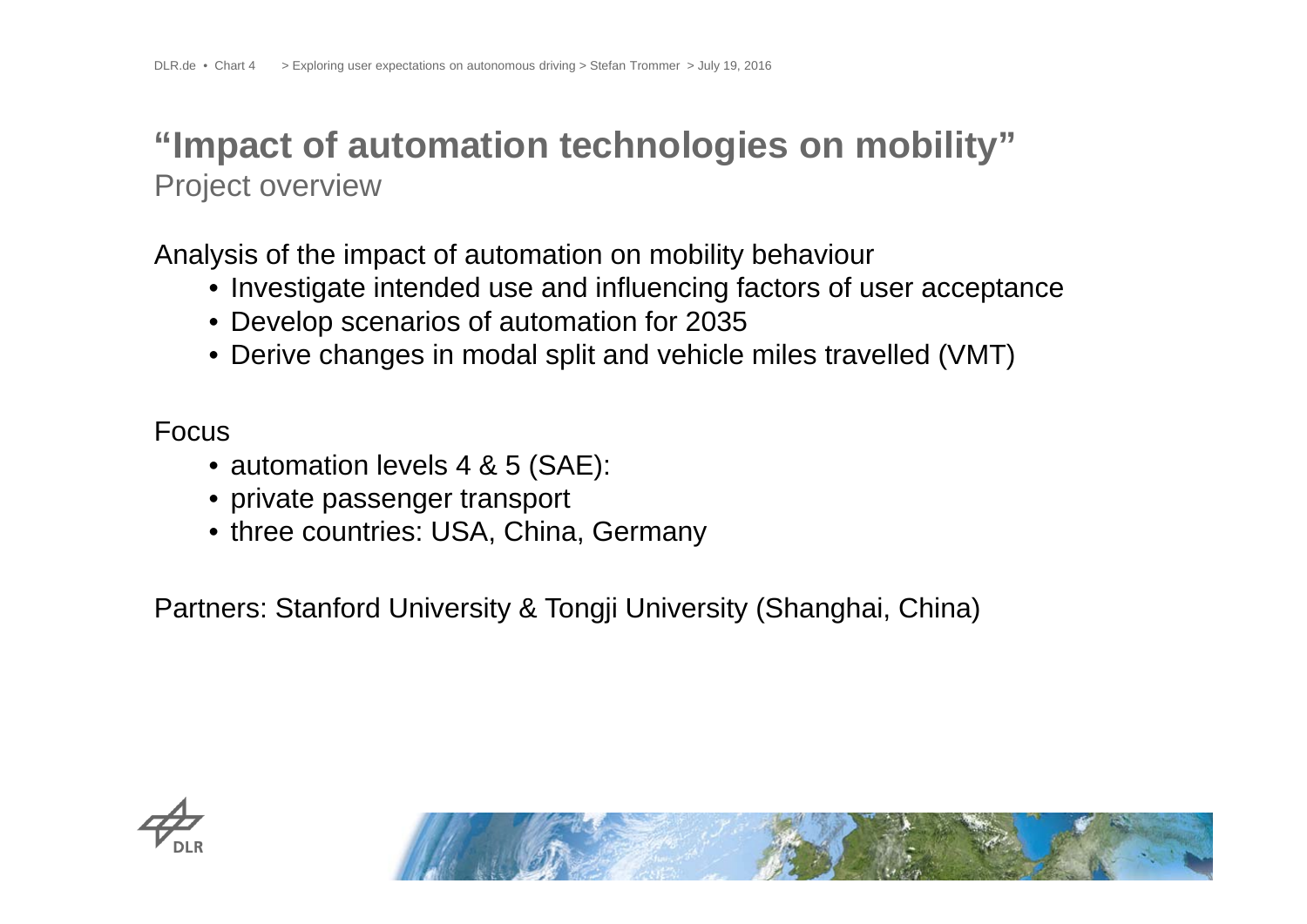### **"Impact of automation technologies on mobility"** Project overview

Analysis of the impact of automation on mobility behaviour

- Investigate intended use and influencing factors of user acceptance
- Develop scenarios of automation for 2035
- Derive changes in modal split and vehicle miles travelled (VMT)

Focus

- automation levels 4 & 5 (SAE):
- private passenger transport
- three countries: USA, China, Germany

Partners: Stanford University & Tongji University (Shanghai, China)



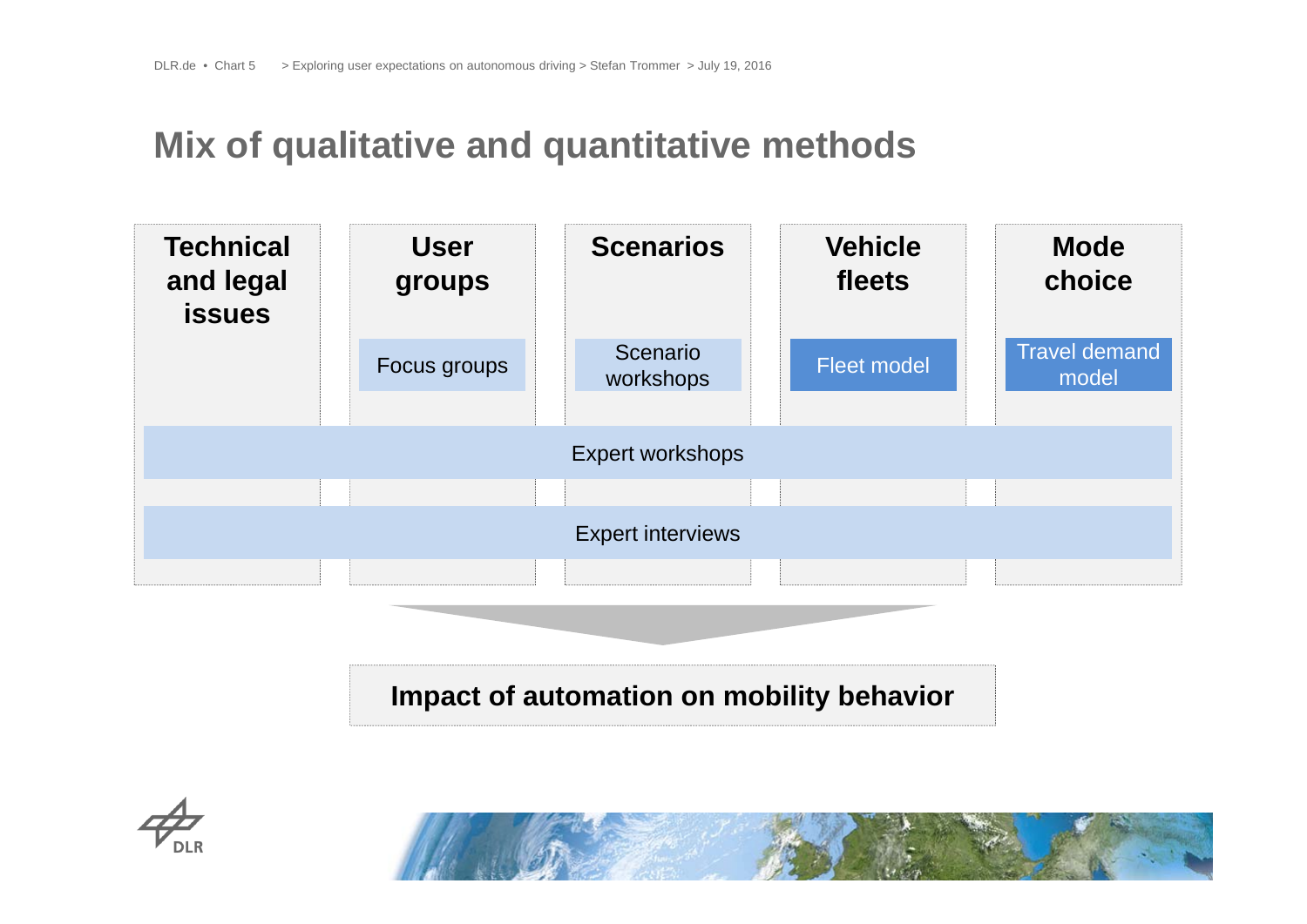#### **Mix of qualitative and quantitative methods**



**Impact of automation on mobility behavior**



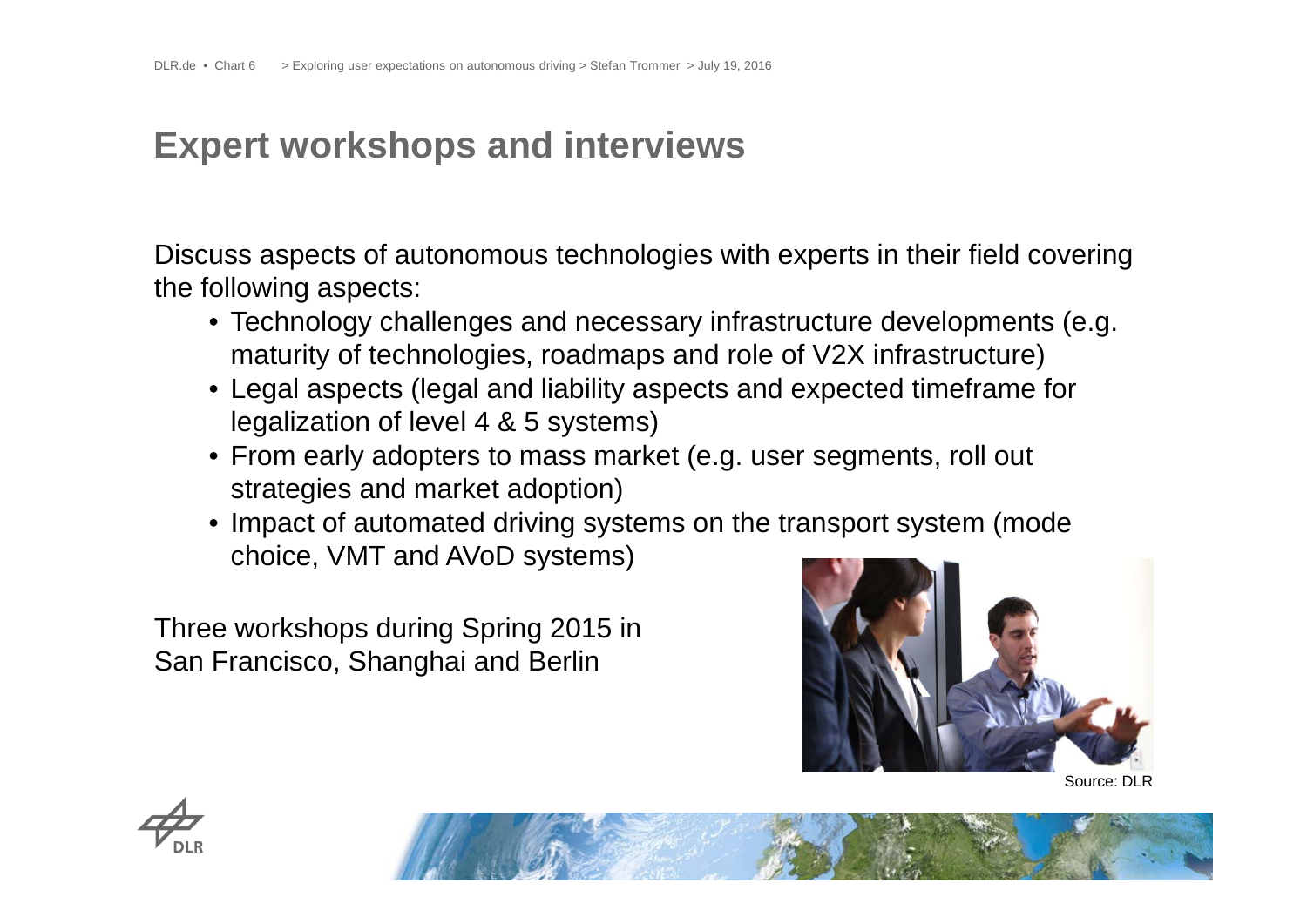### **Expert workshops and interviews**

Discuss aspects of autonomous technologies with experts in their field covering the following aspects:

- Technology challenges and necessary infrastructure developments (e.g. maturity of technologies, roadmaps and role of V2X infrastructure)
- Legal aspects (legal and liability aspects and expected timeframe for legalization of level 4 & 5 systems)
- From early adopters to mass market (e.g. user segments, roll out strategies and market adoption)
- Impact of automated driving systems on the transport system (mode choice, VMT and AVoD systems)

Three workshops during Spring 2015 in San Francisco, Shanghai and Berlin







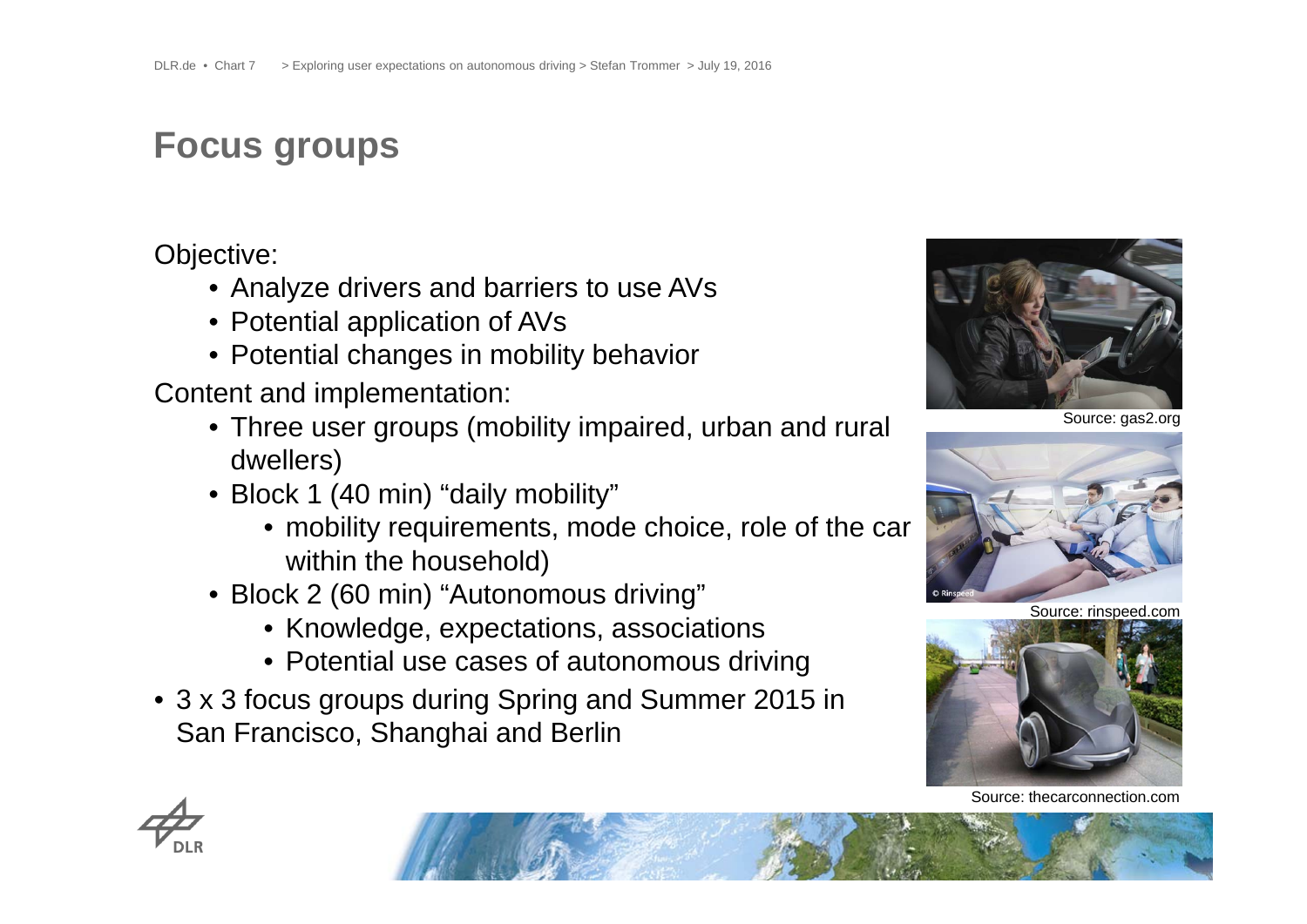# **Focus groups**

Objective:

- Analyze drivers and barriers to use AVs
- Potential application of AVs
- Potential changes in mobility behavior

Content and implementation:

- Three user groups (mobility impaired, urban and rural dwellers)
- Block 1 (40 min) "daily mobility"
	- mobility requirements, mode choice, role of the car within the household)
- Block 2 (60 min) "Autonomous driving"
	- Knowledge, expectations, associations
	- Potential use cases of autonomous driving
- 3 x 3 focus groups during Spring and Summer 2015 in San Francisco, Shanghai and Berlin







Source: rinspeed.com



Source: thecarconnection.com

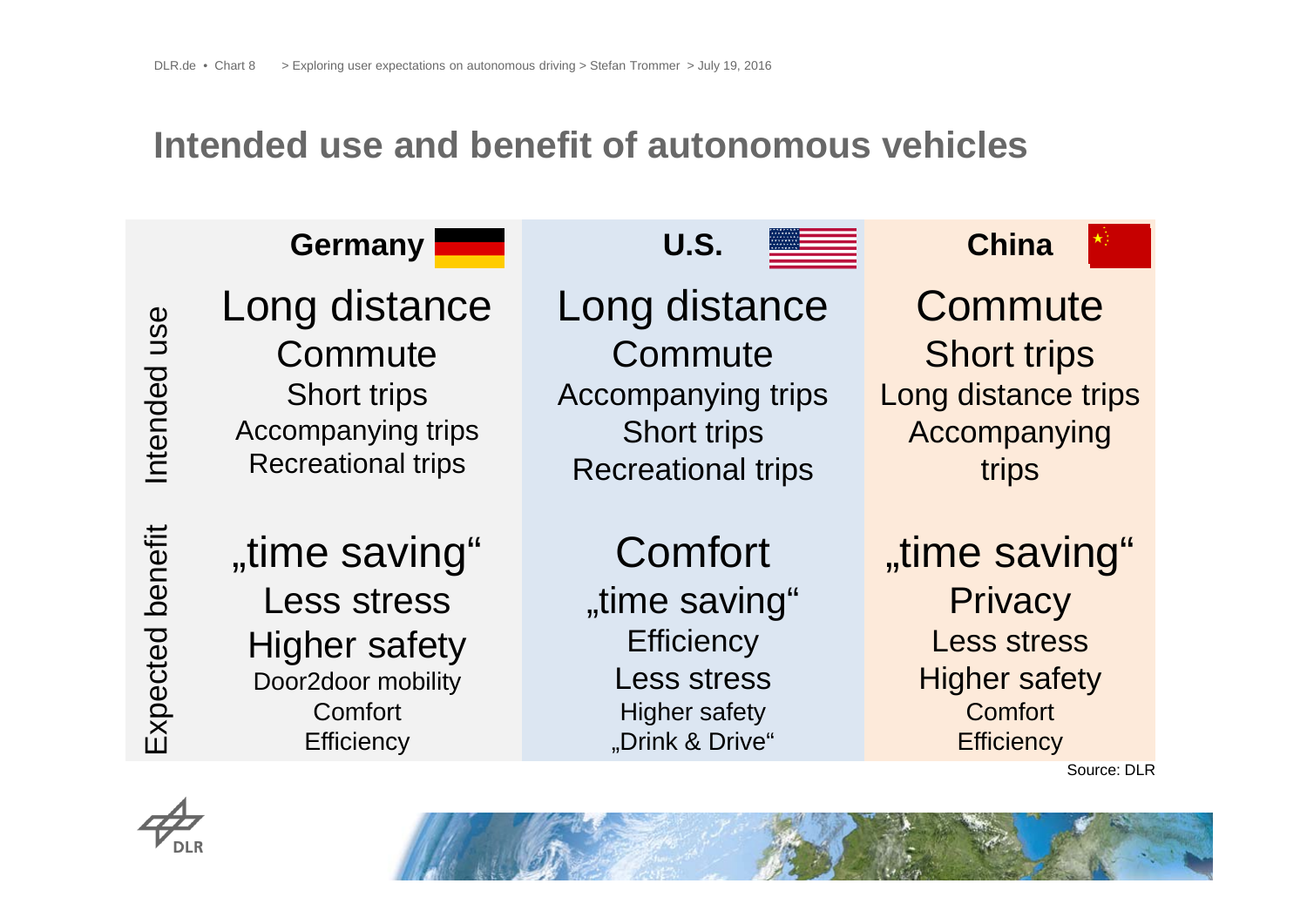#### **Intended use and benefit of autonomous vehicles**



Source: DLR



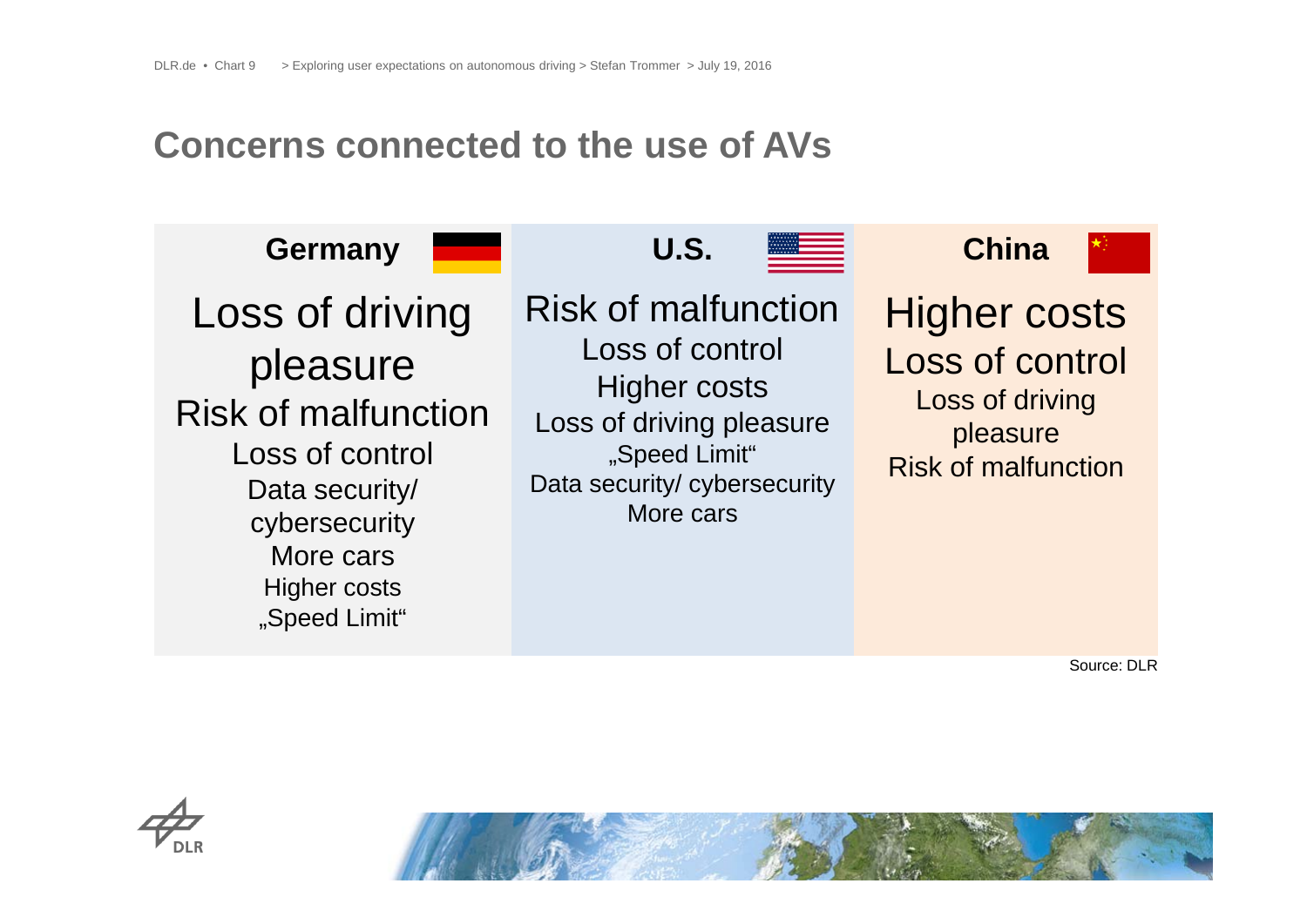#### **Concerns connected to the use of AVs**

**Germany U.S. China** Loss of driving pleasure Risk of malfunctionLoss of control Data security/ cybersecurity More carsHigher costs "Speed Limit" Risk of malfunction Loss of control Higher costs Loss of driving pleasure "Speed Limit" Data security/ cybersecurity More carsHigher costs Loss of control Loss of driving pleasure Risk of malfunction

Source: DLR



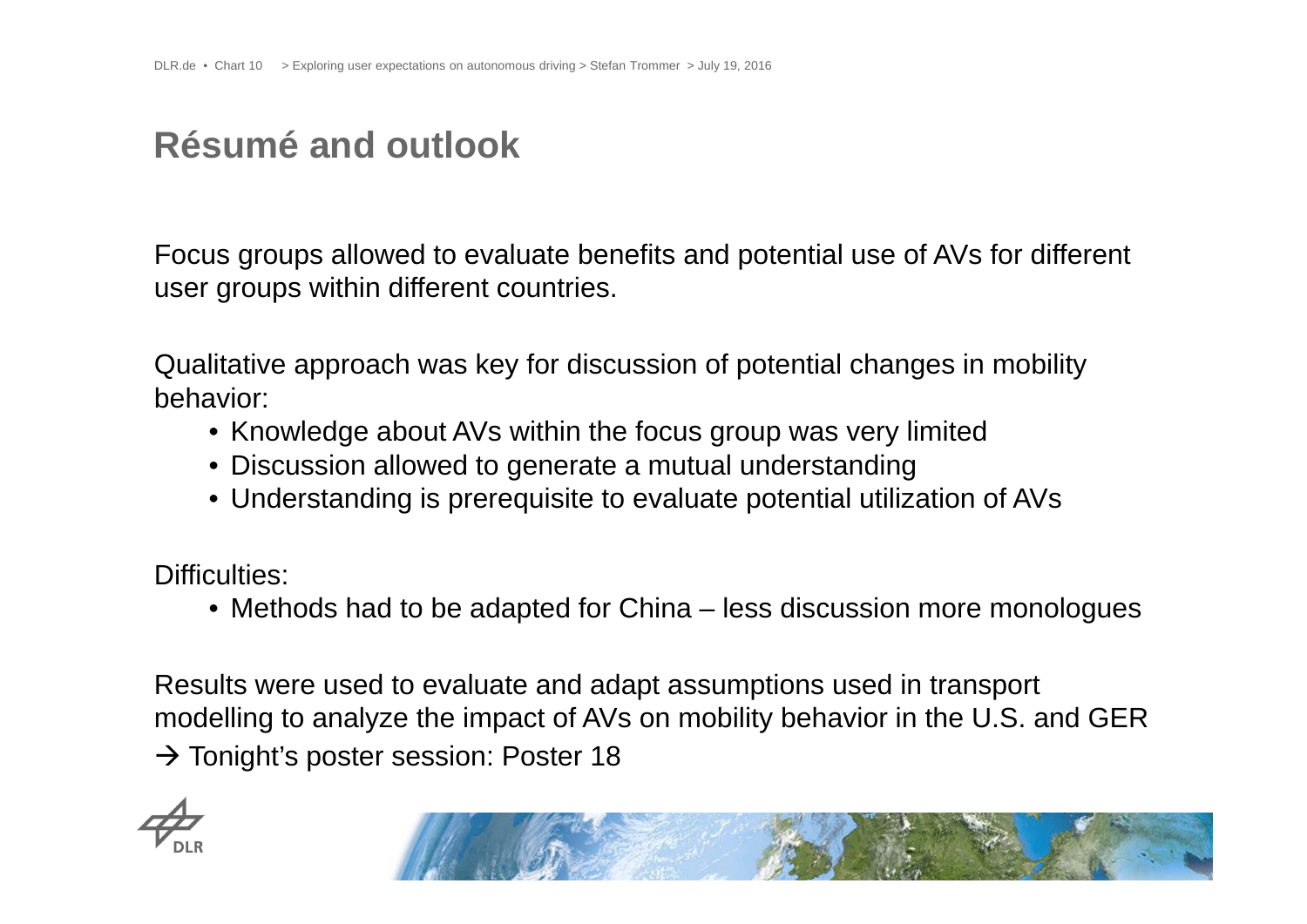## **Résumé and outlook**

Focus groups allowed to evaluate benefits and potential use of AVs for different user groups within different countries.

Qualitative approach was key for discussion of potential changes in mobility behavior:

- Knowledge about AVs within the focus group was very limited
- Discussion allowed to generate a mutual understanding
- Understanding is prerequisite to evaluate potential utilization of AVs

Difficulties:

• Methods had to be adapted for China – less discussion more monologues

Results were used to evaluate and adapt assumptions used in transport modelling to analyze the impact of AVs on mobility behavior in the U.S. and GER  $\rightarrow$  Tonight's poster session: Poster 18